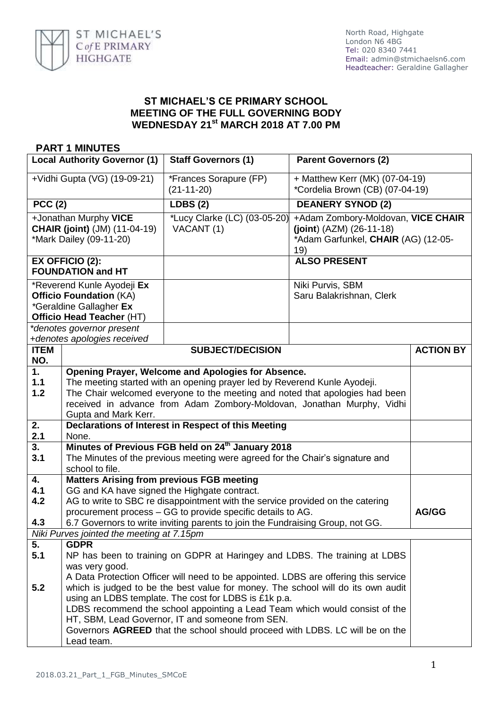

## **ST MICHAEL'S CE PRIMARY SCHOOL MEETING OF THE FULL GOVERNING BODY WEDNESDAY 21st MARCH 2018 AT 7.00 PM**

## **PART 1 MINUTES**

| <b>Local Authority Governor (1)</b>                                                                                                               |                                                                                                                                                                                                                                                                                                                                                                                                                                | <b>Staff Governors (1)</b>                 | <b>Parent Governors (2)</b>                                                                                    |                  |
|---------------------------------------------------------------------------------------------------------------------------------------------------|--------------------------------------------------------------------------------------------------------------------------------------------------------------------------------------------------------------------------------------------------------------------------------------------------------------------------------------------------------------------------------------------------------------------------------|--------------------------------------------|----------------------------------------------------------------------------------------------------------------|------------------|
| +Vidhi Gupta (VG) (19-09-21)                                                                                                                      |                                                                                                                                                                                                                                                                                                                                                                                                                                | *Frances Sorapure (FP)<br>$(21-11-20)$     | + Matthew Kerr (MK) (07-04-19)<br>*Cordelia Brown (CB) (07-04-19)                                              |                  |
| <b>PCC (2)</b>                                                                                                                                    |                                                                                                                                                                                                                                                                                                                                                                                                                                | LDBS(2)                                    | <b>DEANERY SYNOD (2)</b>                                                                                       |                  |
| +Jonathan Murphy VICE<br><b>CHAIR (joint)</b> (JM) (11-04-19)<br>*Mark Dailey (09-11-20)                                                          |                                                                                                                                                                                                                                                                                                                                                                                                                                | *Lucy Clarke (LC) (03-05-20)<br>VACANT (1) | +Adam Zombory-Moldovan, VICE CHAIR<br>$(joint) (AZM) (26-11-18)$<br>*Adam Garfunkel, CHAIR (AG) (12-05-<br>19) |                  |
| <b>EX OFFICIO (2):</b><br><b>FOUNDATION and HT</b>                                                                                                |                                                                                                                                                                                                                                                                                                                                                                                                                                |                                            | <b>ALSO PRESENT</b>                                                                                            |                  |
| *Reverend Kunle Ayodeji Ex<br><b>Officio Foundation (KA)</b><br>*Geraldine Gallagher Ex<br>Officio Head Teacher (HT)<br>*denotes governor present |                                                                                                                                                                                                                                                                                                                                                                                                                                |                                            | Niki Purvis, SBM<br>Saru Balakrishnan, Clerk                                                                   |                  |
|                                                                                                                                                   | +denotes apologies received                                                                                                                                                                                                                                                                                                                                                                                                    |                                            |                                                                                                                |                  |
| <b>ITEM</b>                                                                                                                                       |                                                                                                                                                                                                                                                                                                                                                                                                                                | <b>SUBJECT/DECISION</b>                    |                                                                                                                | <b>ACTION BY</b> |
| NO.                                                                                                                                               |                                                                                                                                                                                                                                                                                                                                                                                                                                |                                            |                                                                                                                |                  |
| 1.<br>$1.1$<br>$1.2$                                                                                                                              | Opening Prayer, Welcome and Apologies for Absence.<br>The meeting started with an opening prayer led by Reverend Kunle Ayodeji.<br>The Chair welcomed everyone to the meeting and noted that apologies had been<br>received in advance from Adam Zombory-Moldovan, Jonathan Murphy, Vidhi<br>Gupta and Mark Kerr.                                                                                                              |                                            |                                                                                                                |                  |
| 2.<br>2.1                                                                                                                                         | Declarations of Interest in Respect of this Meeting<br>None.                                                                                                                                                                                                                                                                                                                                                                   |                                            |                                                                                                                |                  |
| 3.<br>3.1                                                                                                                                         | Minutes of Previous FGB held on 24 <sup>th</sup> January 2018<br>The Minutes of the previous meeting were agreed for the Chair's signature and<br>school to file.                                                                                                                                                                                                                                                              |                                            |                                                                                                                |                  |
| 4.<br>4.1<br>4.2<br>4.3                                                                                                                           | <b>Matters Arising from previous FGB meeting</b><br>GG and KA have signed the Highgate contract.<br>AG to write to SBC re disappointment with the service provided on the catering<br>AG/GG<br>procurement process – GG to provide specific details to AG.<br>6.7 Governors to write inviting parents to join the Fundraising Group, not GG.                                                                                   |                                            |                                                                                                                |                  |
|                                                                                                                                                   | Niki Purves jointed the meeting at 7.15pm                                                                                                                                                                                                                                                                                                                                                                                      |                                            |                                                                                                                |                  |
| 5.<br>5.1<br>5.2                                                                                                                                  | <b>GDPR</b><br>NP has been to training on GDPR at Haringey and LDBS. The training at LDBS<br>was very good.<br>A Data Protection Officer will need to be appointed. LDBS are offering this service<br>which is judged to be the best value for money. The school will do its own audit<br>using an LDBS template. The cost for LDBS is £1k p.a.<br>LDBS recommend the school appointing a Lead Team which would consist of the |                                            |                                                                                                                |                  |
|                                                                                                                                                   | HT, SBM, Lead Governor, IT and someone from SEN.<br>Governors AGREED that the school should proceed with LDBS. LC will be on the<br>Lead team.                                                                                                                                                                                                                                                                                 |                                            |                                                                                                                |                  |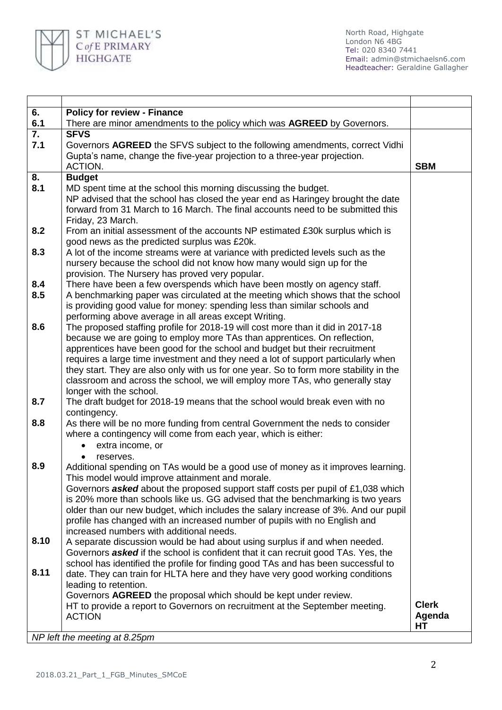

North Road, Highgate London N6 4BG Tel: 020 8340 7441 Email: [admin@stmichaelsn6.com](mailto:admin@stmichaelsn6.com) Headteacher: Geraldine Gallagher

| 6.   | <b>Policy for review - Finance</b>                                                                                                                                         |              |
|------|----------------------------------------------------------------------------------------------------------------------------------------------------------------------------|--------------|
| 6.1  | There are minor amendments to the policy which was AGREED by Governors.                                                                                                    |              |
| 7.   | <b>SFVS</b>                                                                                                                                                                |              |
| 7.1  | Governors AGREED the SFVS subject to the following amendments, correct Vidhi                                                                                               |              |
|      | Gupta's name, change the five-year projection to a three-year projection.                                                                                                  |              |
|      | ACTION.                                                                                                                                                                    | <b>SBM</b>   |
| 8.   | <b>Budget</b>                                                                                                                                                              |              |
| 8.1  | MD spent time at the school this morning discussing the budget.                                                                                                            |              |
|      | NP advised that the school has closed the year end as Haringey brought the date                                                                                            |              |
|      | forward from 31 March to 16 March. The final accounts need to be submitted this                                                                                            |              |
|      | Friday, 23 March.                                                                                                                                                          |              |
| 8.2  | From an initial assessment of the accounts NP estimated £30k surplus which is                                                                                              |              |
|      | good news as the predicted surplus was £20k.                                                                                                                               |              |
| 8.3  | A lot of the income streams were at variance with predicted levels such as the                                                                                             |              |
|      | nursery because the school did not know how many would sign up for the                                                                                                     |              |
|      | provision. The Nursery has proved very popular.                                                                                                                            |              |
| 8.4  | There have been a few overspends which have been mostly on agency staff.                                                                                                   |              |
| 8.5  | A benchmarking paper was circulated at the meeting which shows that the school                                                                                             |              |
|      | is providing good value for money: spending less than similar schools and                                                                                                  |              |
|      | performing above average in all areas except Writing.                                                                                                                      |              |
| 8.6  | The proposed staffing profile for 2018-19 will cost more than it did in 2017-18                                                                                            |              |
|      | because we are going to employ more TAs than apprentices. On reflection,                                                                                                   |              |
|      | apprentices have been good for the school and budget but their recruitment                                                                                                 |              |
|      | requires a large time investment and they need a lot of support particularly when                                                                                          |              |
|      | they start. They are also only with us for one year. So to form more stability in the                                                                                      |              |
|      | classroom and across the school, we will employ more TAs, who generally stay                                                                                               |              |
|      | longer with the school.                                                                                                                                                    |              |
| 8.7  | The draft budget for 2018-19 means that the school would break even with no                                                                                                |              |
|      | contingency.                                                                                                                                                               |              |
| 8.8  | As there will be no more funding from central Government the neds to consider                                                                                              |              |
|      | where a contingency will come from each year, which is either:                                                                                                             |              |
|      | extra income, or<br>$\bullet$                                                                                                                                              |              |
| 8.9  | reserves.                                                                                                                                                                  |              |
|      | Additional spending on TAs would be a good use of money as it improves learning.                                                                                           |              |
|      | This model would improve attainment and morale.                                                                                                                            |              |
|      | Governors <b>asked</b> about the proposed support staff costs per pupil of £1,038 which<br>is 20% more than schools like us. GG advised that the benchmarking is two years |              |
|      | older than our new budget, which includes the salary increase of 3%. And our pupil                                                                                         |              |
|      | profile has changed with an increased number of pupils with no English and                                                                                                 |              |
|      | increased numbers with additional needs.                                                                                                                                   |              |
| 8.10 | A separate discussion would be had about using surplus if and when needed.                                                                                                 |              |
|      | Governors <b>asked</b> if the school is confident that it can recruit good TAs. Yes, the                                                                                   |              |
|      | school has identified the profile for finding good TAs and has been successful to                                                                                          |              |
| 8.11 | date. They can train for HLTA here and they have very good working conditions                                                                                              |              |
|      | leading to retention.                                                                                                                                                      |              |
|      | Governors AGREED the proposal which should be kept under review.                                                                                                           |              |
|      | HT to provide a report to Governors on recruitment at the September meeting.                                                                                               | <b>Clerk</b> |
|      | <b>ACTION</b>                                                                                                                                                              | Agenda       |
|      |                                                                                                                                                                            | HТ           |
|      | NP left the meeting at 8.25pm                                                                                                                                              |              |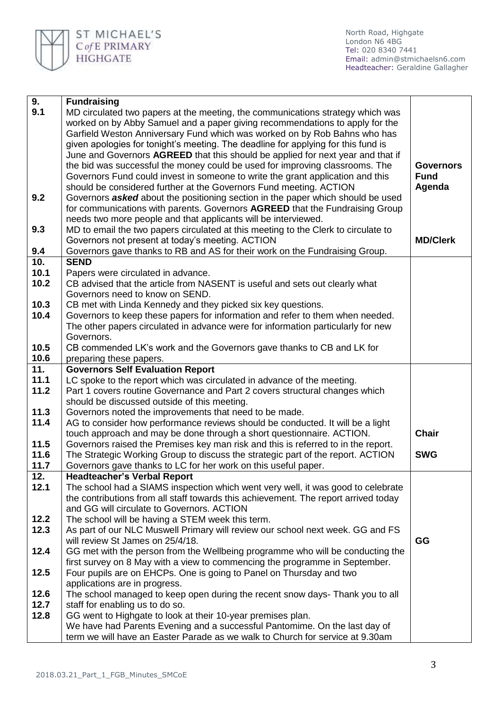

North Road, Highgate London N6 4BG Tel: 020 8340 7441 Email: [admin@stmichaelsn6.com](mailto:admin@stmichaelsn6.com) Headteacher: Geraldine Gallagher

| 9.           | <b>Fundraising</b>                                                                                                                                                   |                  |
|--------------|----------------------------------------------------------------------------------------------------------------------------------------------------------------------|------------------|
| 9.1          | MD circulated two papers at the meeting, the communications strategy which was                                                                                       |                  |
|              | worked on by Abby Samuel and a paper giving recommendations to apply for the                                                                                         |                  |
|              | Garfield Weston Anniversary Fund which was worked on by Rob Bahns who has                                                                                            |                  |
|              | given apologies for tonight's meeting. The deadline for applying for this fund is                                                                                    |                  |
|              | June and Governors AGREED that this should be applied for next year and that if                                                                                      |                  |
|              | the bid was successful the money could be used for improving classrooms. The                                                                                         | <b>Governors</b> |
|              | Governors Fund could invest in someone to write the grant application and this                                                                                       | <b>Fund</b>      |
|              | should be considered further at the Governors Fund meeting. ACTION                                                                                                   | Agenda           |
| 9.2          | Governors asked about the positioning section in the paper which should be used                                                                                      |                  |
|              | for communications with parents. Governors AGREED that the Fundraising Group                                                                                         |                  |
|              | needs two more people and that applicants will be interviewed.                                                                                                       |                  |
| 9.3          | MD to email the two papers circulated at this meeting to the Clerk to circulate to                                                                                   |                  |
|              | Governors not present at today's meeting. ACTION                                                                                                                     | <b>MD/Clerk</b>  |
| 9.4          | Governors gave thanks to RB and AS for their work on the Fundraising Group.                                                                                          |                  |
| 10.          | <b>SEND</b>                                                                                                                                                          |                  |
| 10.1         | Papers were circulated in advance.                                                                                                                                   |                  |
| 10.2         | CB advised that the article from NASENT is useful and sets out clearly what                                                                                          |                  |
|              | Governors need to know on SEND.                                                                                                                                      |                  |
| 10.3         | CB met with Linda Kennedy and they picked six key questions.                                                                                                         |                  |
| 10.4         | Governors to keep these papers for information and refer to them when needed.                                                                                        |                  |
|              | The other papers circulated in advance were for information particularly for new                                                                                     |                  |
|              | Governors.                                                                                                                                                           |                  |
| 10.5         | CB commended LK's work and the Governors gave thanks to CB and LK for                                                                                                |                  |
| 10.6         | preparing these papers.                                                                                                                                              |                  |
| 11.          | <b>Governors Self Evaluation Report</b>                                                                                                                              |                  |
| 11.1         | LC spoke to the report which was circulated in advance of the meeting.                                                                                               |                  |
| 11.2         | Part 1 covers routine Governance and Part 2 covers structural changes which                                                                                          |                  |
|              | should be discussed outside of this meeting.                                                                                                                         |                  |
| 11.3         | Governors noted the improvements that need to be made.                                                                                                               |                  |
| 11.4         | AG to consider how performance reviews should be conducted. It will be a light                                                                                       | <b>Chair</b>     |
|              | touch approach and may be done through a short questionnaire. ACTION.                                                                                                |                  |
| 11.5<br>11.6 | Governors raised the Premises key man risk and this is referred to in the report.<br>The Strategic Working Group to discuss the strategic part of the report. ACTION | <b>SWG</b>       |
| 11.7         | Governors gave thanks to LC for her work on this useful paper.                                                                                                       |                  |
| 12.          | <b>Headteacher's Verbal Report</b>                                                                                                                                   |                  |
| 12.1         | The school had a SIAMS inspection which went very well, it was good to celebrate                                                                                     |                  |
|              | the contributions from all staff towards this achievement. The report arrived today                                                                                  |                  |
|              | and GG will circulate to Governors. ACTION                                                                                                                           |                  |
| 12.2         | The school will be having a STEM week this term.                                                                                                                     |                  |
| 12.3         | As part of our NLC Muswell Primary will review our school next week. GG and FS                                                                                       |                  |
|              | will review St James on 25/4/18.                                                                                                                                     | GG               |
| 12.4         | GG met with the person from the Wellbeing programme who will be conducting the                                                                                       |                  |
|              | first survey on 8 May with a view to commencing the programme in September.                                                                                          |                  |
| 12.5         | Four pupils are on EHCPs. One is going to Panel on Thursday and two                                                                                                  |                  |
|              | applications are in progress.                                                                                                                                        |                  |
| 12.6         | The school managed to keep open during the recent snow days- Thank you to all                                                                                        |                  |
| 12.7         | staff for enabling us to do so.                                                                                                                                      |                  |
| 12.8         | GG went to Highgate to look at their 10-year premises plan.                                                                                                          |                  |
|              | We have had Parents Evening and a successful Pantomime. On the last day of                                                                                           |                  |
|              | term we will have an Easter Parade as we walk to Church for service at 9.30am                                                                                        |                  |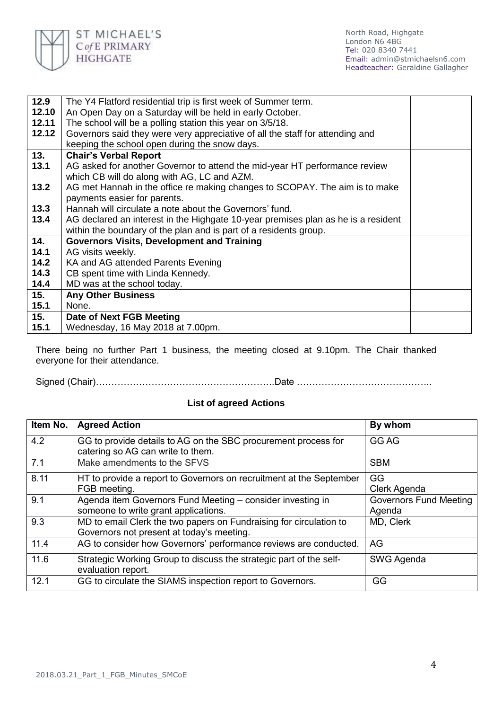

| 12.9  | The Y4 Flatford residential trip is first week of Summer term.                    |  |
|-------|-----------------------------------------------------------------------------------|--|
| 12.10 | An Open Day on a Saturday will be held in early October.                          |  |
| 12.11 | The school will be a polling station this year on 3/5/18.                         |  |
| 12.12 | Governors said they were very appreciative of all the staff for attending and     |  |
|       | keeping the school open during the snow days.                                     |  |
| 13.   | <b>Chair's Verbal Report</b>                                                      |  |
| 13.1  | AG asked for another Governor to attend the mid-year HT performance review        |  |
|       | which CB will do along with AG, LC and AZM.                                       |  |
| 13.2  | AG met Hannah in the office re making changes to SCOPAY. The aim is to make       |  |
|       | payments easier for parents.                                                      |  |
| 13.3  | Hannah will circulate a note about the Governors' fund.                           |  |
| 13.4  | AG declared an interest in the Highgate 10-year premises plan as he is a resident |  |
|       | within the boundary of the plan and is part of a residents group.                 |  |
| 14.   | <b>Governors Visits, Development and Training</b>                                 |  |
| 14.1  | AG visits weekly.                                                                 |  |
| 14.2  | KA and AG attended Parents Evening                                                |  |
| 14.3  | CB spent time with Linda Kennedy.                                                 |  |
| 14.4  | MD was at the school today.                                                       |  |
| 15.   | <b>Any Other Business</b>                                                         |  |
| 15.1  | None.                                                                             |  |
| 15.   | Date of Next FGB Meeting                                                          |  |
| 15.1  | Wednesday, 16 May 2018 at 7.00pm.                                                 |  |

There being no further Part 1 business, the meeting closed at 9.10pm. The Chair thanked everyone for their attendance.

Signed (Chair)………………………………………………….Date ……………………………………..

## **List of agreed Actions**

| Item No. | <b>Agreed Action</b>                                                                                            | By whom                                 |
|----------|-----------------------------------------------------------------------------------------------------------------|-----------------------------------------|
| 4.2      | GG to provide details to AG on the SBC procurement process for<br>catering so AG can write to them.             | GG AG                                   |
| 7.1      | Make amendments to the SFVS                                                                                     | <b>SBM</b>                              |
| 8.11     | HT to provide a report to Governors on recruitment at the September<br>FGB meeting.                             | GG<br>Clerk Agenda                      |
| 9.1      | Agenda item Governors Fund Meeting - consider investing in<br>someone to write grant applications.              | <b>Governors Fund Meeting</b><br>Agenda |
| 9.3      | MD to email Clerk the two papers on Fundraising for circulation to<br>Governors not present at today's meeting. | MD, Clerk                               |
| 11.4     | AG to consider how Governors' performance reviews are conducted.                                                | AG                                      |
| 11.6     | Strategic Working Group to discuss the strategic part of the self-<br>evaluation report.                        | SWG Agenda                              |
| 12.1     | GG to circulate the SIAMS inspection report to Governors.                                                       | GG                                      |